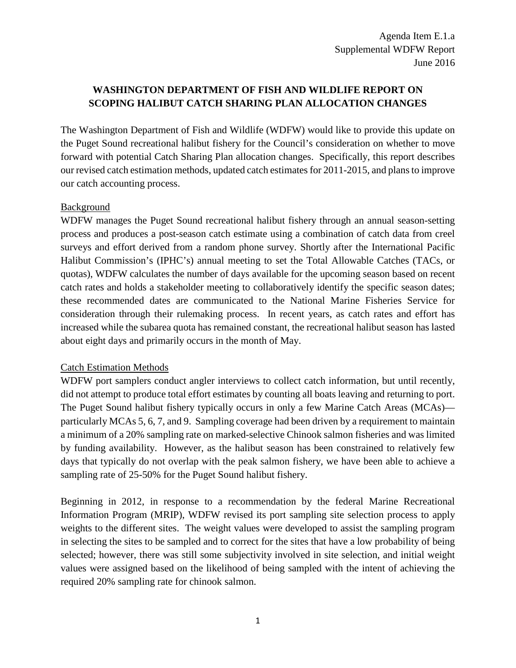# **WASHINGTON DEPARTMENT OF FISH AND WILDLIFE REPORT ON SCOPING HALIBUT CATCH SHARING PLAN ALLOCATION CHANGES**

The Washington Department of Fish and Wildlife (WDFW) would like to provide this update on the Puget Sound recreational halibut fishery for the Council's consideration on whether to move forward with potential Catch Sharing Plan allocation changes. Specifically, this report describes our revised catch estimation methods, updated catch estimatesfor 2011-2015, and plans to improve our catch accounting process.

## Background

WDFW manages the Puget Sound recreational halibut fishery through an annual season-setting process and produces a post-season catch estimate using a combination of catch data from creel surveys and effort derived from a random phone survey. Shortly after the International Pacific Halibut Commission's (IPHC's) annual meeting to set the Total Allowable Catches (TACs, or quotas), WDFW calculates the number of days available for the upcoming season based on recent catch rates and holds a stakeholder meeting to collaboratively identify the specific season dates; these recommended dates are communicated to the National Marine Fisheries Service for consideration through their rulemaking process. In recent years, as catch rates and effort has increased while the subarea quota has remained constant, the recreational halibut season has lasted about eight days and primarily occurs in the month of May.

### Catch Estimation Methods

WDFW port samplers conduct angler interviews to collect catch information, but until recently, did not attempt to produce total effort estimates by counting all boats leaving and returning to port. The Puget Sound halibut fishery typically occurs in only a few Marine Catch Areas (MCAs) particularly MCAs 5, 6, 7, and 9. Sampling coverage had been driven by a requirement to maintain a minimum of a 20% sampling rate on marked-selective Chinook salmon fisheries and was limited by funding availability. However, as the halibut season has been constrained to relatively few days that typically do not overlap with the peak salmon fishery, we have been able to achieve a sampling rate of 25-50% for the Puget Sound halibut fishery.

Beginning in 2012, in response to a recommendation by the federal Marine Recreational Information Program (MRIP), WDFW revised its port sampling site selection process to apply weights to the different sites. The weight values were developed to assist the sampling program in selecting the sites to be sampled and to correct for the sites that have a low probability of being selected; however, there was still some subjectivity involved in site selection, and initial weight values were assigned based on the likelihood of being sampled with the intent of achieving the required 20% sampling rate for chinook salmon.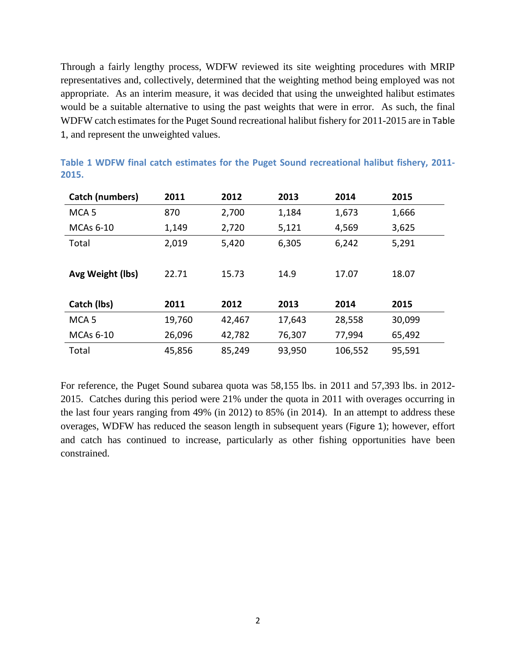Through a fairly lengthy process, WDFW reviewed its site weighting procedures with MRIP representatives and, collectively, determined that the weighting method being employed was not appropriate. As an interim measure, it was decided that using the unweighted halibut estimates would be a suitable alternative to using the past weights that were in error. As such, the final WDFW catch estimates for the Puget Sound recreational halibut fishery for 2011-2015 are in [Table](#page-1-0)  [1](#page-1-0), and represent the unweighted values.

| Catch (numbers)  | 2011   | 2012   | 2013   | 2014    | 2015   |
|------------------|--------|--------|--------|---------|--------|
| MCA <sub>5</sub> | 870    | 2,700  | 1,184  | 1,673   | 1,666  |
| MCAs 6-10        | 1,149  | 2,720  | 5,121  | 4,569   | 3,625  |
| Total            | 2,019  | 5,420  | 6,305  | 6,242   | 5,291  |
|                  |        |        |        |         |        |
| Avg Weight (lbs) | 22.71  | 15.73  | 14.9   | 17.07   | 18.07  |
|                  |        |        |        |         |        |
| Catch (lbs)      | 2011   | 2012   | 2013   | 2014    | 2015   |
| MCA <sub>5</sub> | 19,760 | 42,467 | 17,643 | 28,558  | 30,099 |
| <b>MCAs 6-10</b> | 26,096 | 42,782 | 76,307 | 77,994  | 65,492 |
| Total            | 45,856 | 85,249 | 93,950 | 106,552 | 95,591 |

<span id="page-1-0"></span>**Table 1 WDFW final catch estimates for the Puget Sound recreational halibut fishery, 2011- 2015.**

For reference, the Puget Sound subarea quota was 58,155 lbs. in 2011 and 57,393 lbs. in 2012- 2015. Catches during this period were 21% under the quota in 2011 with overages occurring in the last four years ranging from 49% (in 2012) to 85% (in 2014). In an attempt to address these overages, WDFW has reduced the season length in subsequent years ([Figure 1](#page-2-0)); however, effort and catch has continued to increase, particularly as other fishing opportunities have been constrained.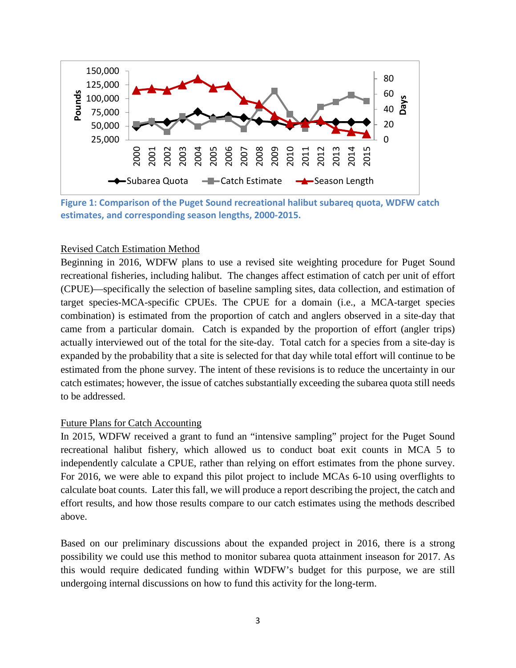

<span id="page-2-0"></span>**Figure 1: Comparison of the Puget Sound recreational halibut subareq quota, WDFW catch estimates, and corresponding season lengths, 2000-2015.**

#### Revised Catch Estimation Method

Beginning in 2016, WDFW plans to use a revised site weighting procedure for Puget Sound recreational fisheries, including halibut. The changes affect estimation of catch per unit of effort (CPUE)—specifically the selection of baseline sampling sites, data collection, and estimation of target species-MCA-specific CPUEs. The CPUE for a domain (i.e., a MCA-target species combination) is estimated from the proportion of catch and anglers observed in a site-day that came from a particular domain. Catch is expanded by the proportion of effort (angler trips) actually interviewed out of the total for the site-day. Total catch for a species from a site-day is expanded by the probability that a site is selected for that day while total effort will continue to be estimated from the phone survey. The intent of these revisions is to reduce the uncertainty in our catch estimates; however, the issue of catches substantially exceeding the subarea quota still needs to be addressed.

#### Future Plans for Catch Accounting

In 2015, WDFW received a grant to fund an "intensive sampling" project for the Puget Sound recreational halibut fishery, which allowed us to conduct boat exit counts in MCA 5 to independently calculate a CPUE, rather than relying on effort estimates from the phone survey. For 2016, we were able to expand this pilot project to include MCAs 6-10 using overflights to calculate boat counts. Later this fall, we will produce a report describing the project, the catch and effort results, and how those results compare to our catch estimates using the methods described above.

Based on our preliminary discussions about the expanded project in 2016, there is a strong possibility we could use this method to monitor subarea quota attainment inseason for 2017. As this would require dedicated funding within WDFW's budget for this purpose, we are still undergoing internal discussions on how to fund this activity for the long-term.